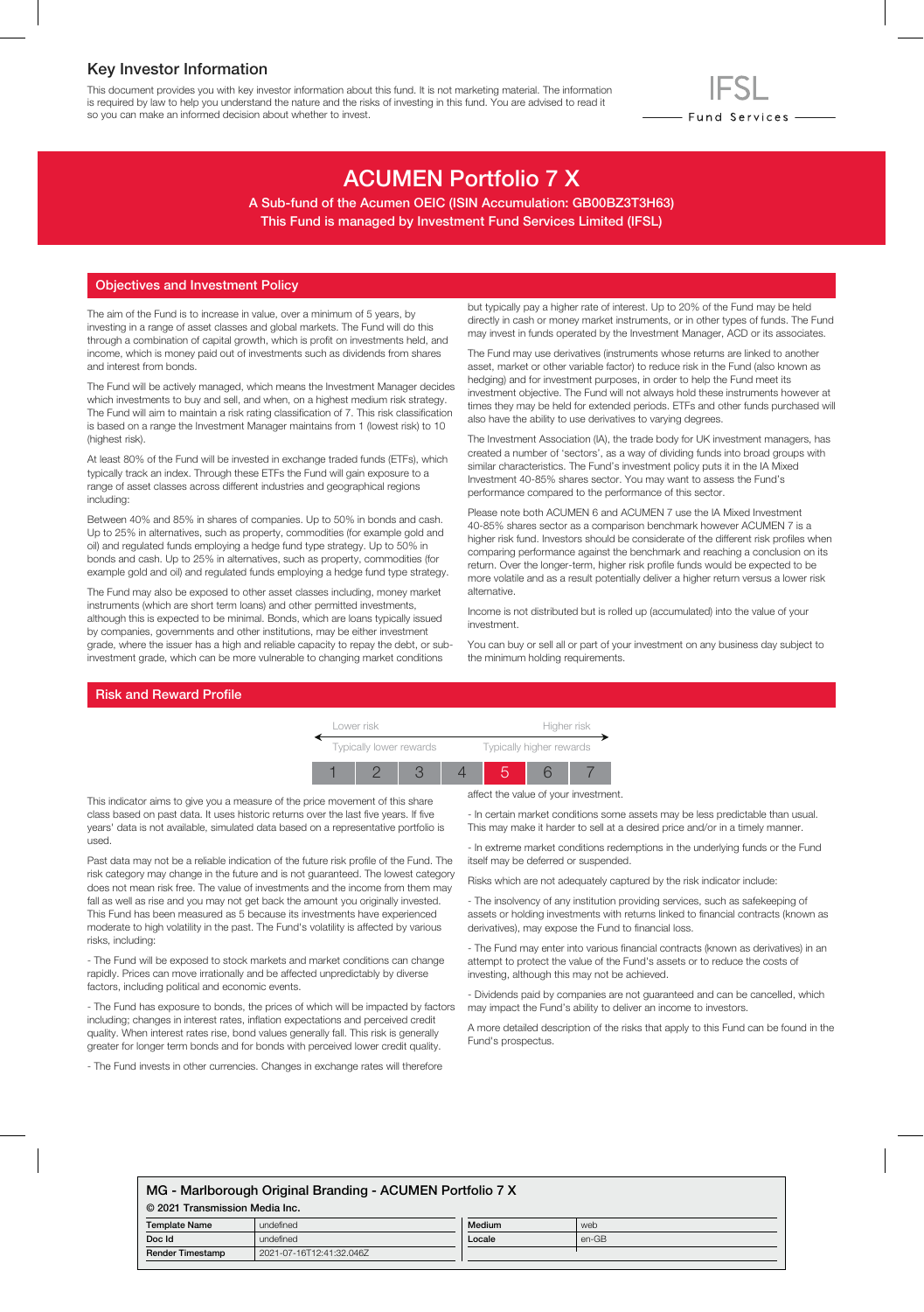### Key Investor Information

This document provides you with key investor information about this fund. It is not marketing material. The information is required by law to help you understand the nature and the risks of investing in this fund. You are advised to read it so you can make an informed decision about whether to invest.

# ACUMEN Portfolio 7 X

A Sub-fund of the Acumen OEIC (ISIN Accumulation: GB00BZ3T3H63) This Fund is managed by Investment Fund Services Limited (IFSL)

#### Objectives and Investment Policy

The aim of the Fund is to increase in value, over a minimum of 5 years, by investing in a range of asset classes and global markets. The Fund will do this through a combination of capital growth, which is profit on investments held, and income, which is money paid out of investments such as dividends from shares and interest from bonds.

The Fund will be actively managed, which means the Investment Manager decides which investments to buy and sell, and when, on a highest medium risk strategy. The Fund will aim to maintain a risk rating classification of 7. This risk classification is based on a range the Investment Manager maintains from 1 (lowest risk) to 10 (highest risk).

At least 80% of the Fund will be invested in exchange traded funds (ETFs), which typically track an index. Through these ETFs the Fund will gain exposure to a range of asset classes across different industries and geographical regions including:

Between 40% and 85% in shares of companies. Up to 50% in bonds and cash. Up to 25% in alternatives, such as property, commodities (for example gold and oil) and regulated funds employing a hedge fund type strategy. Up to 50% in bonds and cash. Up to 25% in alternatives, such as property, commodities (for example gold and oil) and regulated funds employing a hedge fund type strategy.

The Fund may also be exposed to other asset classes including, money market instruments (which are short term loans) and other permitted investments, although this is expected to be minimal. Bonds, which are loans typically issued by companies, governments and other institutions, may be either investment grade, where the issuer has a high and reliable capacity to repay the debt, or subinvestment grade, which can be more vulnerable to changing market conditions

but typically pay a higher rate of interest. Up to 20% of the Fund may be held directly in cash or money market instruments, or in other types of funds. The Fund may invest in funds operated by the Investment Manager, ACD or its associates.

- Fund Services —

The Fund may use derivatives (instruments whose returns are linked to another asset, market or other variable factor) to reduce risk in the Fund (also known as hedging) and for investment purposes, in order to help the Fund meet its investment objective. The Fund will not always hold these instruments however at times they may be held for extended periods. ETFs and other funds purchased will also have the ability to use derivatives to varying degrees.

The Investment Association (IA), the trade body for UK investment managers, has created a number of 'sectors', as a way of dividing funds into broad groups with similar characteristics. The Fund's investment policy puts it in the IA Mixed Investment 40-85% shares sector. You may want to assess the Fund's performance compared to the performance of this sector.

Please note both ACUMEN 6 and ACUMEN 7 use the IA Mixed Investment 40-85% shares sector as a comparison benchmark however ACUMEN 7 is a higher risk fund. Investors should be considerate of the different risk profiles when comparing performance against the benchmark and reaching a conclusion on its return. Over the longer-term, higher risk profile funds would be expected to be more volatile and as a result potentially deliver a higher return versus a lower risk alternative.

Income is not distributed but is rolled up (accumulated) into the value of your investment.

You can buy or sell all or part of your investment on any business day subject to the minimum holding requirements.

#### Risk and Reward Profile



This indicator aims to give you a measure of the price movement of this share class based on past data. It uses historic returns over the last five years. If five years' data is not available, simulated data based on a representative portfolio is used.

Past data may not be a reliable indication of the future risk profile of the Fund. The risk category may change in the future and is not guaranteed. The lowest category does not mean risk free. The value of investments and the income from them may fall as well as rise and you may not get back the amount you originally invested. This Fund has been measured as 5 because its investments have experienced moderate to high volatility in the past. The Fund's volatility is affected by various risks, including:

- The Fund will be exposed to stock markets and market conditions can change rapidly. Prices can move irrationally and be affected unpredictably by diverse factors, including political and economic events.

- The Fund has exposure to bonds, the prices of which will be impacted by factors including; changes in interest rates, inflation expectations and perceived credit quality. When interest rates rise, bond values generally fall. This risk is generally greater for longer term bonds and for bonds with perceived lower credit quality.

- The Fund invests in other currencies. Changes in exchange rates will therefore

affect the value of your investment.

- In certain market conditions some assets may be less predictable than usual. This may make it harder to sell at a desired price and/or in a timely manner.

- In extreme market conditions redemptions in the underlying funds or the Fund itself may be deferred or suspended.

Risks which are not adequately captured by the risk indicator include:

- The insolvency of any institution providing services, such as safekeeping of assets or holding investments with returns linked to financial contracts (known as derivatives), may expose the Fund to financial loss.

- The Fund may enter into various financial contracts (known as derivatives) in an attempt to protect the value of the Fund's assets or to reduce the costs of investing, although this may not be achieved.

- Dividends paid by companies are not guaranteed and can be cancelled, which may impact the Fund's ability to deliver an income to investors.

A more detailed description of the risks that apply to this Fund can be found in the Fund's prospectus.